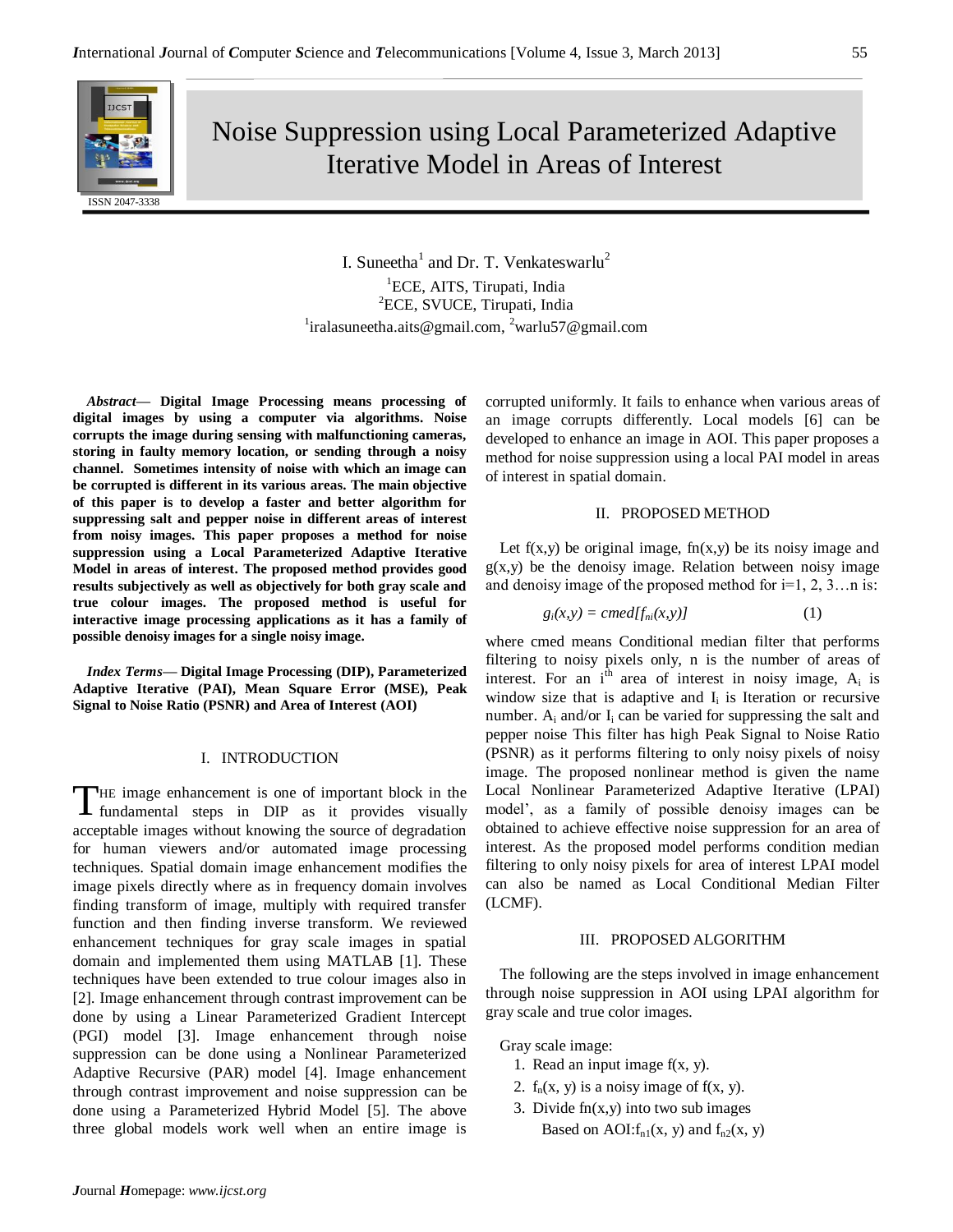

Noise Suppression using Local Parameterized Adaptive Iterative Model in Areas of Interest

> I. Suneetha<sup>1</sup> and Dr. T. Venkateswarlu<sup>2</sup> <sup>1</sup>ECE, AITS, Tirupati, India <sup>2</sup>ECE, SVUCE, Tirupati, India <sup>1</sup>iralasuneetha.aits@gmail.com, <sup>2</sup>warlu57@gmail.com

*Abstract***— Digital Image Processing means processing of digital images by using a computer via algorithms. Noise corrupts the image during sensing with malfunctioning cameras, storing in faulty memory location, or sending through a noisy channel. Sometimes intensity of noise with which an image can be corrupted is different in its various areas. The main objective of this paper is to develop a faster and better algorithm for suppressing salt and pepper noise in different areas of interest from noisy images. This paper proposes a method for noise suppression using a Local Parameterized Adaptive Iterative Model in areas of interest. The proposed method provides good results subjectively as well as objectively for both gray scale and true colour images. The proposed method is useful for interactive image processing applications as it has a family of possible denoisy images for a single noisy image.**

*Index Terms***— Digital Image Processing (DIP), Parameterized Adaptive Iterative (PAI), Mean Square Error (MSE), Peak Signal to Noise Ratio (PSNR) and Area of Interest (AOI)**

#### I. INTRODUCTION

HE image enhancement is one of important block in the THE image enhancement is one of important block in the fundamental steps in DIP as it provides visually acceptable images without knowing the source of degradation for human viewers and/or automated image processing techniques. Spatial domain image enhancement modifies the image pixels directly where as in frequency domain involves finding transform of image, multiply with required transfer function and then finding inverse transform. We reviewed enhancement techniques for gray scale images in spatial domain and implemented them using MATLAB [1]. These techniques have been extended to true colour images also in [2]. Image enhancement through contrast improvement can be done by using a Linear Parameterized Gradient Intercept (PGI) model [3]. Image enhancement through noise suppression can be done using a Nonlinear Parameterized Adaptive Recursive (PAR) model [4]. Image enhancement through contrast improvement and noise suppression can be done using a Parameterized Hybrid Model [5]. The above three global models work well when an entire image is

corrupted uniformly. It fails to enhance when various areas of an image corrupts differently. Local models [6] can be developed to enhance an image in AOI. This paper proposes a method for noise suppression using a local PAI model in areas of interest in spatial domain.

# II. PROPOSED METHOD

Let  $f(x,y)$  be original image,  $f(x,y)$  be its noisy image and  $g(x,y)$  be the denoisy image. Relation between noisy image and denoisy image of the proposed method for  $i=1, 2, 3...$ n is:

$$
g_i(x, y) = c \text{med}[f_{ni}(x, y)] \tag{1}
$$

where cmed means Conditional median filter that performs filtering to noisy pixels only, n is the number of areas of interest. For an  $i<sup>th</sup>$  area of interest in noisy image,  $A_i$  is window size that is adaptive and  $I_i$  is Iteration or recursive number.  $A_i$  and/or  $I_i$  can be varied for suppressing the salt and pepper noise This filter has high Peak Signal to Noise Ratio (PSNR) as it performs filtering to only noisy pixels of noisy image. The proposed nonlinear method is given the name Local Nonlinear Parameterized Adaptive Iterative (LPAI) model', as a family of possible denoisy images can be obtained to achieve effective noise suppression for an area of interest. As the proposed model performs condition median filtering to only noisy pixels for area of interest LPAI model can also be named as Local Conditional Median Filter (LCMF).

#### III. PROPOSED ALGORITHM

The following are the steps involved in image enhancement through noise suppression in AOI using LPAI algorithm for gray scale and true color images.

Gray scale image:

- 1. Read an input image  $f(x, y)$ .
- 2.  $f_n(x, y)$  is a noisy image of  $f(x, y)$ .
- 3. Divide  $fn(x,y)$  into two sub images Based on AOI: $f_{n1}(x, y)$  and  $f_{n2}(x, y)$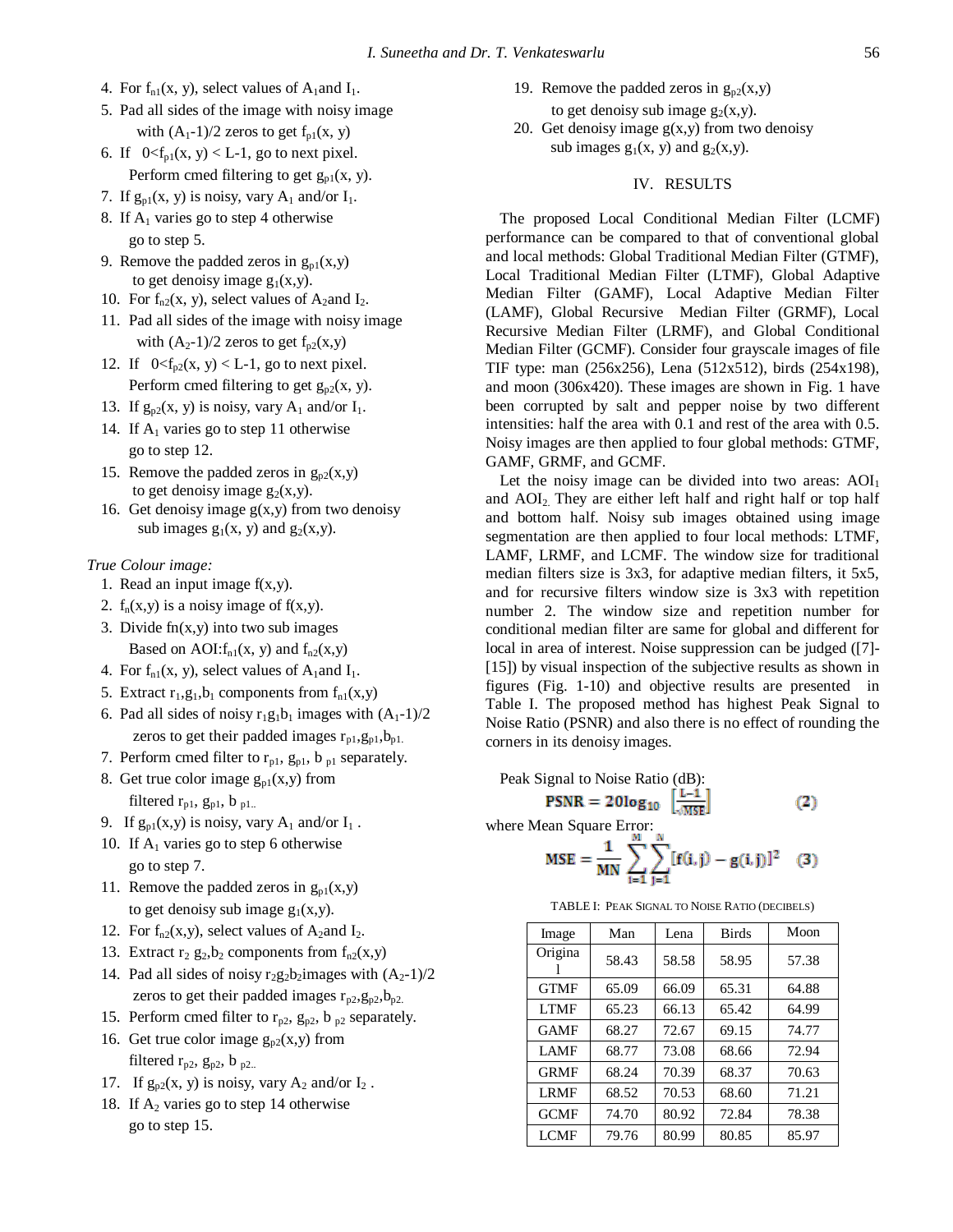- 4. For  $f_{n1}(x, y)$ , select values of  $A_1$  and  $I_1$ .
- 5. Pad all sides of the image with noisy image with  $(A_1-1)/2$  zeros to get  $f_{p1}(x, y)$
- 6. If  $0 < f_{p1}(x, y) < L-1$ , go to next pixel. Perform cmed filtering to get  $g_{p1}(x, y)$ .
- 7. If  $g_{p1}(x, y)$  is noisy, vary  $A_1$  and/or  $I_1$ .
- 8. If  $A_1$  varies go to step 4 otherwise go to step 5.
- 9. Remove the padded zeros in  $g_{p1}(x,y)$ to get denoisy image  $g_1(x,y)$ .
- 10. For  $f_{n2}(x, y)$ , select values of A<sub>2</sub>and I<sub>2</sub>.
- 11. Pad all sides of the image with noisy image with  $(A_2-1)/2$  zeros to get  $f_{p2}(x,y)$
- 12. If  $0 \le f_{p2}(x, y) \le L-1$ , go to next pixel. Perform cmed filtering to get  $g_{p2}(x, y)$ .
- 13. If  $g_{p2}(x, y)$  is noisy, vary  $A_1$  and/or  $I_1$ .
- 14. If  $A_1$  varies go to step 11 otherwise go to step 12.
- 15. Remove the padded zeros in  $g_{p2}(x,y)$ to get denoisy image  $g_2(x,y)$ .
- 16. Get denoisy image  $g(x,y)$  from two denoisy sub images  $g_1(x, y)$  and  $g_2(x,y)$ .

### *True Colour image:*

- 1. Read an input image  $f(x,y)$ .
- 2.  $f_n(x,y)$  is a noisy image of  $f(x,y)$ .
- 3. Divide  $fn(x,y)$  into two sub images Based on AOI: $f_{n1}(x, y)$  and  $f_{n2}(x,y)$
- 4. For  $f_{n1}(x, y)$ , select values of  $A_1$  and  $I_1$ .
- 5. Extract  $r_1, g_1, b_1$  components from  $f_{n1}(x, y)$
- 6. Pad all sides of noisy  $r_1g_1b_1$  images with  $(A_1-1)/2$ zeros to get their padded images  $r_{p1}, g_{p1}, b_{p1}$ .
- 7. Perform cmed filter to  $r_{p1}$ ,  $g_{p1}$ ,  $b_{p1}$  separately.
- 8. Get true color image  $g_{p1}(x,y)$  from filtered  $r_{p1}$ ,  $g_{p1}$ ,  $b_{p1}$ .
- 9. If  $g_{p1}(x,y)$  is noisy, vary  $A_1$  and/or  $I_1$ .
- 10. If  $A_1$  varies go to step 6 otherwise go to step 7.
- 11. Remove the padded zeros in  $g_{pl}(x,y)$ to get denoisy sub image  $g_1(x,y)$ .
- 12. For  $f_{n2}(x,y)$ , select values of A<sub>2</sub>and I<sub>2</sub>.
- 13. Extract  $r_2$   $g_2$ , $b_2$  components from  $f_{n2}(x,y)$
- 14. Pad all sides of noisy  $r_2g_2b_2$  images with  $(A_2-1)/2$ zeros to get their padded images  $r_{p2}, g_{p2}, b_{p2}$ .
- 15. Perform cmed filter to  $r_{p2}$ ,  $g_{p2}$ ,  $b_{p2}$  separately.
- 16. Get true color image  $g_{p2}(x,y)$  from filtered  $r_{p2}$ ,  $g_{p2}$ ,  $b_{p2}$ .
- 17. If  $g_{p2}(x, y)$  is noisy, vary  $A_2$  and/or  $I_2$ .
- 18. If  $A_2$  varies go to step 14 otherwise go to step 15.

19. Remove the padded zeros in  $g_{p2}(x,y)$ 

to get denoisy sub image  $g_2(x,y)$ .

20. Get denoisy image  $g(x,y)$  from two denoisy sub images  $g_1(x, y)$  and  $g_2(x,y)$ .

### IV. RESULTS

The proposed Local Conditional Median Filter (LCMF) performance can be compared to that of conventional global and local methods: Global Traditional Median Filter (GTMF), Local Traditional Median Filter (LTMF), Global Adaptive Median Filter (GAMF), Local Adaptive Median Filter (LAMF), Global Recursive Median Filter (GRMF), Local Recursive Median Filter (LRMF), and Global Conditional Median Filter (GCMF). Consider four grayscale images of file TIF type: man (256x256), Lena (512x512), birds (254x198), and moon (306x420). These images are shown in Fig. 1 have been corrupted by salt and pepper noise by two different intensities: half the area with 0.1 and rest of the area with 0.5. Noisy images are then applied to four global methods: GTMF, GAMF, GRMF, and GCMF.

Let the noisy image can be divided into two areas:  $AOI<sub>1</sub>$ and AOI<sub>2</sub>. They are either left half and right half or top half and bottom half. Noisy sub images obtained using image segmentation are then applied to four local methods: LTMF, LAMF, LRMF, and LCMF. The window size for traditional median filters size is 3x3, for adaptive median filters, it 5x5, and for recursive filters window size is 3x3 with repetition number 2. The window size and repetition number for conditional median filter are same for global and different for local in area of interest. Noise suppression can be judged ([7]- [15]) by visual inspection of the subjective results as shown in figures (Fig. 1-10) and objective results are presented in Table I. The proposed method has highest Peak Signal to Noise Ratio (PSNR) and also there is no effect of rounding the corners in its denoisy images.

Peak Signal to Noise Ratio (dB):<br> **PSNR** = 201og<sub>10</sub>  $\frac{L-1}{2MSE}$ 

 $(2)$ 

where Mean Square Error:

$$
MSE = \frac{1}{MN} \sum_{i=1}^{M} \sum_{j=1}^{N} [f(i, j) - g(i, j)]^{2}
$$
 (3)

|  |  | TABLE I: PEAK SIGNAL TO NOISE RATIO (DECIBELS) |  |
|--|--|------------------------------------------------|--|
|--|--|------------------------------------------------|--|

| Image       | Man   | Lena  | <b>Birds</b> | Moon  |
|-------------|-------|-------|--------------|-------|
| Origina     | 58.43 | 58.58 | 58.95        | 57.38 |
| <b>GTMF</b> | 65.09 | 66.09 | 65.31        | 64.88 |
| <b>LTMF</b> | 65.23 | 66.13 | 65.42        | 64.99 |
| <b>GAMF</b> | 68.27 | 72.67 | 69.15        | 74.77 |
| <b>LAMF</b> | 68.77 | 73.08 | 68.66        | 72.94 |
| <b>GRMF</b> | 68.24 | 70.39 | 68.37        | 70.63 |
| <b>LRMF</b> | 68.52 | 70.53 | 68.60        | 71.21 |
| <b>GCMF</b> | 74.70 | 80.92 | 72.84        | 78.38 |
| <b>LCMF</b> | 79.76 | 80.99 | 80.85        | 85.97 |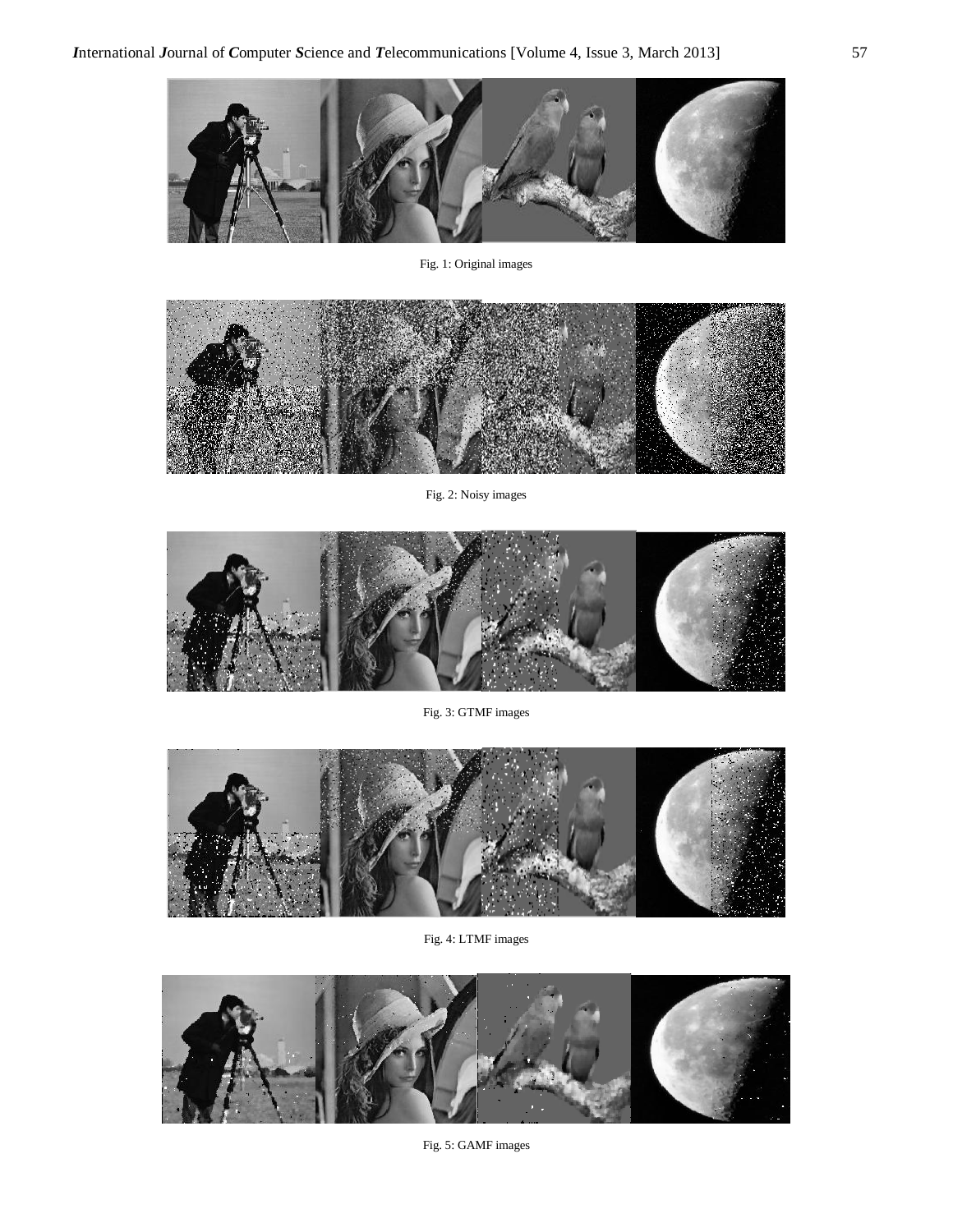

Fig. 1: Original images



Fig. 2: Noisy images



Fig. 3: GTMF images



Fig. 4: LTMF images

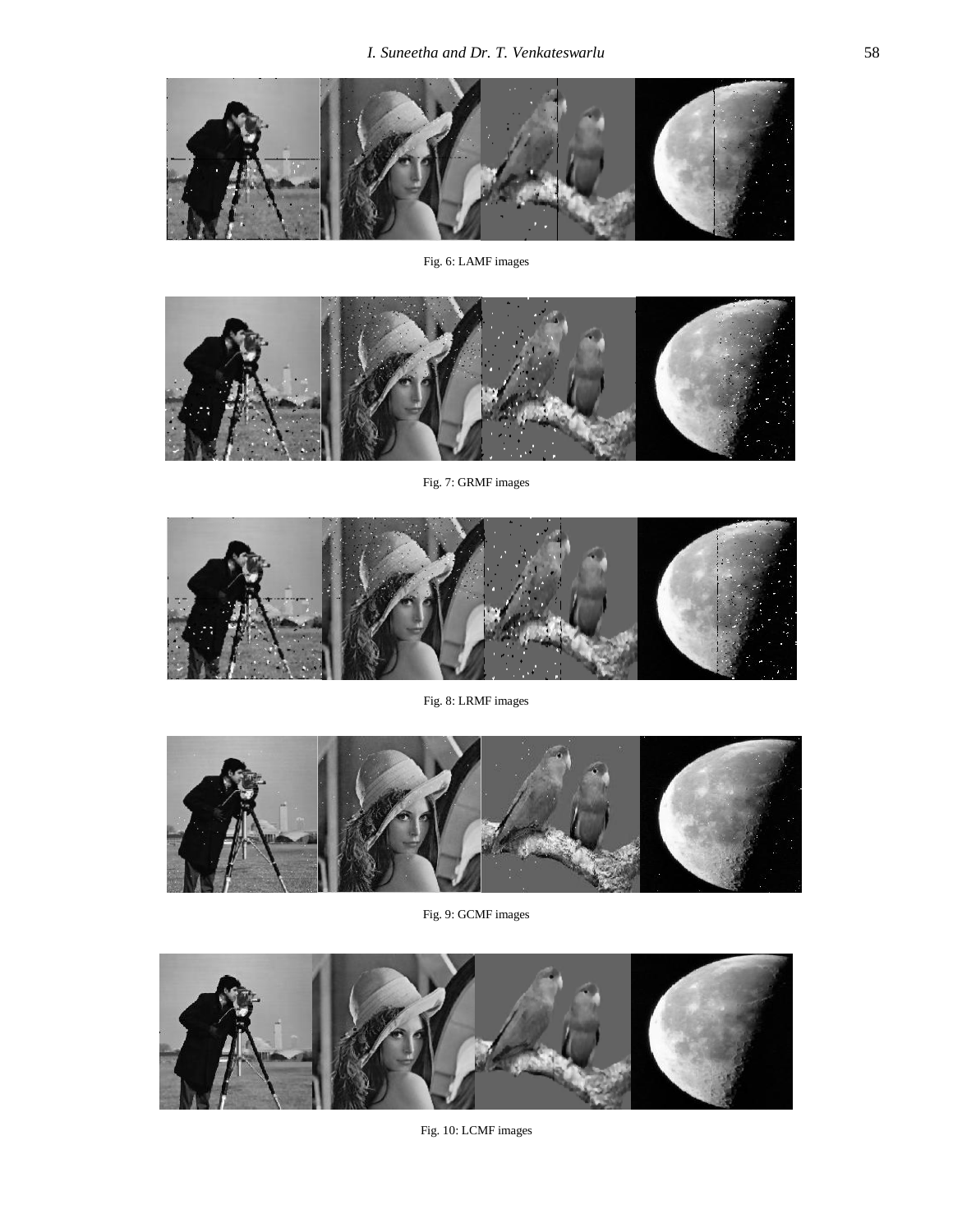

Fig. 6: LAMF images



Fig. 7: GRMF images



Fig. 8: LRMF images



Fig. 9: GCMF images



Fig. 10: LCMF images